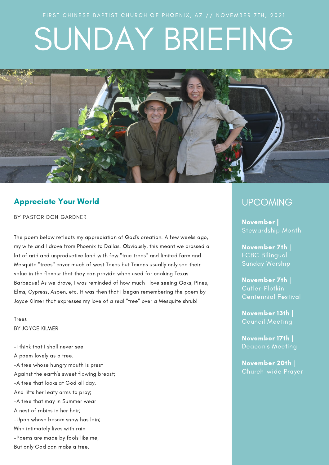# SUNDAY BRIEFING



## Appreciate Your World

BY PASTOR DON GARDNER

The poem below reflects my appreciation of God's creation. A few weeks ago, my wife and I drove from Phoenix to Dallas. Obviously, this meant we crossed a lot of arid and unproductive land with few "true trees" and limited farmland. Mesquite "trees" cover much of west Texas but Texans usually only see their value in the flavour that they can provide when used for cooking Texas Barbecue! As we drove, I was reminded of how much I love seeing Oaks, Pines, Elms, Cypress, Aspen, etc. It was then that I began remembering the poem by Joyce Kilmer that expresses my love of a real "tree" over a Mesquite shrub!

Trees BY JOYCE [KILMER](https://www.poetryfoundation.org/poets/joyce-kilmer)

-I think that I shall never see A poem lovely as a tree. -A tree whose hungry mouth is prest Against the earth's sweet flowing breast; -A tree that looks at God all day, And lifts her leafy arms to pray; -A tree that may in Summer wear A nest of robins in her hair; -Upon whose bosom snow has lain; Who intimately lives with rain. -Poems are made by fools like me, But only God can make a tree.

## **UPCOMING**

November | Stewardship Month

*IN THIS ISSUE* Sunday Worship November 7th | FCBC Bilingual

Cutler-Plotkin November 7th |

November 13th | Ingels Council Meeting

November 17th | Deacon's Meeting

November 20th | Church-wide Prayer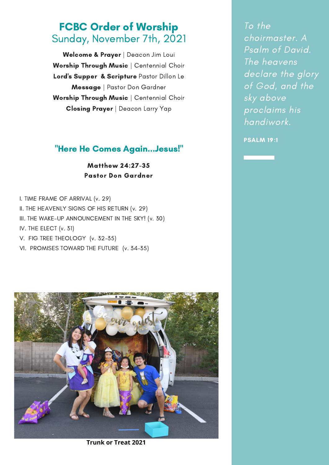# FCBC Order of Worship Sunday, November 7th, 2021

Welcome & Prayer | Deacon Jim Loui Worship Through Music | Centennial Choir Lord's Supper & Scripture Pastor Dillon Le Message | Pastor Don Gardner Worship Through Music | Centennial Choir Closing Prayer | Deacon Larry Yap

## "Here He Comes Again...Jesus!"

Matthew 24:27-35 Pastor Don Gardner

- I. TIME FRAME OF ARRIVAL (v. 29)
- II. THE HEAVENLY SIGNS OF HIS RETURN (v. 29)
- III. THE WAKE-UP ANNOUNCEMENT IN THE SKY! (v. 30)
- IV. THE ELECT (v. 31)
- V. FIG TREE THEOLOGY (v. 32-35)
- VI. PROMISES TOWARD THE FUTURE (v. 34-35)



**Trunk or Treat 2021**

To the choirmaster. A Psalm of David. The heavens declare the glory of God, and the sky above proclaims his handiwork.

PSALM 19:1